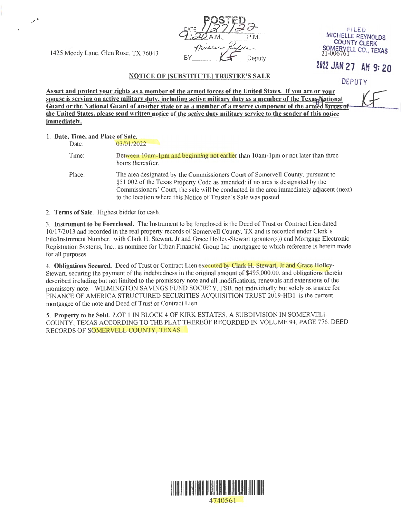1425 Moody Lane, Glen Rose, TX 76043  $\mu$ 

 $\mathscr{S}^*$ 

POSTED<br>C:22AM  $:20$  A.M.  $P.M.$ Muller

## t-lLED MICHELLE REYNOLDS COUNTY CLERK SOMERVELL CO., TEXAS

*2D22 JAN 21* AH 9: 20

DEPUTY

NOTICE OF (SUBSTITUTE] TRUSTEE'S SALE

Assert and protect your rights as a member of the armed forces of the United States. If you are or your spouse is serving on active military duty, including active military duty as a member of the Texa SNational Guard or the National Guard of another state or as a member of a reserve component of the armed forces of **the United States, please send written notice of the active duty military service to the sender of this notice immediatelv.** 

|  | 1. Date, Time, and Place of Sale. |  |  |  |
|--|-----------------------------------|--|--|--|
|  |                                   |  |  |  |

Date: 03/01/2022 Time: Place: Between 10am-1pm and beginning not earlier than 10am-1pm or not later than three hours thereafter. The area designated by the Commissioners Court of Somervell County, pursuant to §51 .002 of the Texas Property Code as amended: if no area is designated by the Commissioners' Court, the sale will be conducted in the area immediately adjacent (nex1) to the location where this Notice of Trustee 's Sale was posted.

2. **Terms of Sale.** Highest bidder for cash.

3. **Instrument to be Foreclosed.** The Instrument to be foreclosed is the Deed of Trust or Contract Lien dated 10/17/2013 and recorded in the real property records of Somervell County, TX and is recorded under Clerk's File/Instrument Number, with Clark H. Stewart, Jr and Grace Holley-Stewart (grantor(s)) and Mortgage Electronic Registration Systems, Inc., as nominee for Urban Financial Group Inc. mortgagee to which reference is herein made for all purposes.

4. **Obligations Secured.** Deed of Trust or Contract Lien executed by Clark H. Stewart, Jr and Grace Holley-Stewart, securing the payment of the indebtedness in the original amount of \$495,000.00, and obligations therein described including but not limited to the promissory note and all modifications, renewals and extensions of the promissory note. WILMINGTON SAVINGS FUND SOCIETY, FSB, not individually but solely as trustee for FINANCE OF AMERICA STRUCTURED SECURITIES ACQUISITION TRUST 2019-HBl is the current mortgagee of the note and Deed of Trust or Contract Lien.

5. **Property to be Sold.** LOT 1 IN BLOCK 4 OF KIRK ESTATES, A SUBDIVISION IN SOMERVELL COUNTY, TEXAS ACCORDING TO THE PLAT THEREOF RECORDED IN VOLUME 94, PAGE 776, DEED RECORDS OF SOMERVELL COUNTY, TEXAS.